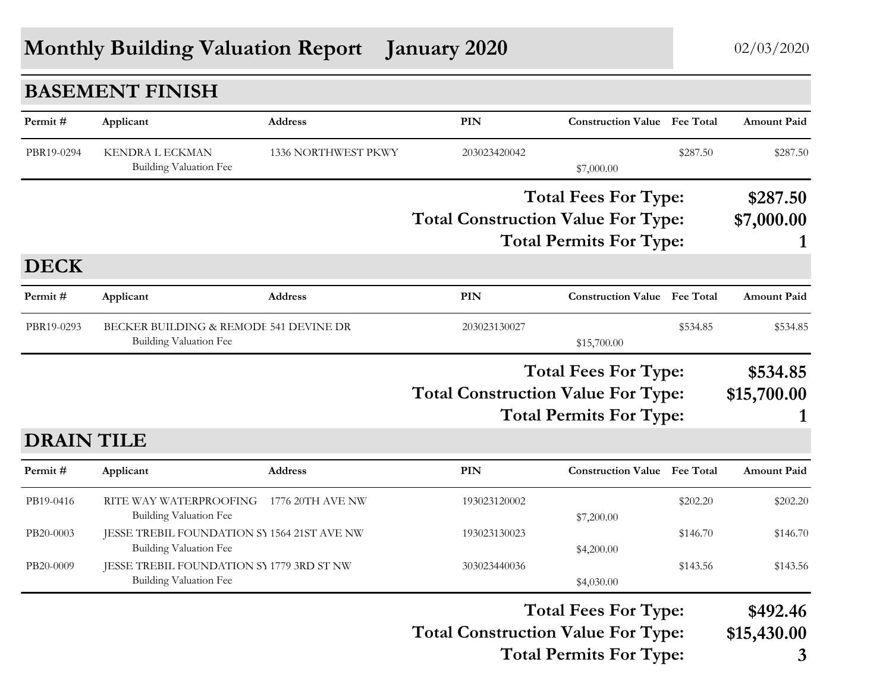## **Monthly Building Valuation Report** January 2020 02/03/2020

|                   | <b>BASEMENT FINISH</b>                                                |                     |                                           |                                     |          |                    |
|-------------------|-----------------------------------------------------------------------|---------------------|-------------------------------------------|-------------------------------------|----------|--------------------|
| Permit#           | Applicant                                                             | Address             | <b>PIN</b>                                | <b>Construction Value</b> Fee Total |          | <b>Amount Paid</b> |
| PBR19-0294        | <b>KENDRA L ECKMAN</b><br>Building Valuation Fee                      | 1336 NORTHWEST PKWY | 203023420042                              | \$7,000.00                          | \$287.50 | \$287.50           |
|                   |                                                                       |                     |                                           | <b>Total Fees For Type:</b>         |          | \$287.50           |
|                   |                                                                       |                     | <b>Total Construction Value For Type:</b> |                                     |          | \$7,000.00         |
|                   |                                                                       |                     |                                           | <b>Total Permits For Type:</b>      |          |                    |
| <b>DECK</b>       |                                                                       |                     |                                           |                                     |          |                    |
| Permit#           | Applicant                                                             | <b>Address</b>      | <b>PIN</b>                                | <b>Construction Value</b> Fee Total |          | <b>Amount Paid</b> |
| PBR19-0293        | BECKER BUILDING & REMODE 541 DEVINE DR<br>Building Valuation Fee      |                     | 203023130027                              | \$15,700.00                         | \$534.85 | \$534.85           |
|                   |                                                                       |                     |                                           | <b>Total Fees For Type:</b>         |          | \$534.85           |
|                   |                                                                       |                     | <b>Total Construction Value For Type:</b> |                                     |          | \$15,700.00        |
|                   |                                                                       |                     |                                           | <b>Total Permits For Type:</b>      |          |                    |
| <b>DRAIN TILE</b> |                                                                       |                     |                                           |                                     |          |                    |
| Permit#           | Applicant                                                             | <b>Address</b>      | PIN                                       | <b>Construction Value</b> Fee Total |          | <b>Amount Paid</b> |
| PB19-0416         | RITE WAY WATERPROOFING                                                | 1776 20TH AVE NW    | 193023120002                              |                                     | \$202.20 | \$202.20           |
|                   | <b>Building Valuation Fee</b>                                         |                     |                                           | \$7,200.00                          |          |                    |
| PB20-0003         | JESSE TREBIL FOUNDATION SY 1564 21ST AVE NW<br>Building Valuation Fee |                     | 193023130023                              | \$4,200.00                          | \$146.70 | \$146.70           |
| PB20-0009         | JESSE TREBIL FOUNDATION SY 1779 3RD ST NW                             |                     | 303023440036                              |                                     | \$143.56 | \$143.56           |
|                   | <b>Building Valuation Fee</b>                                         |                     |                                           | \$4,030.00                          |          |                    |
|                   |                                                                       |                     |                                           | <b>Total Fees For Type:</b>         |          | \$492.46           |
|                   |                                                                       |                     | <b>Total Construction Value For Type:</b> |                                     |          | \$15,430.00        |
|                   |                                                                       |                     |                                           | <b>Total Permits For Type:</b>      |          | 3                  |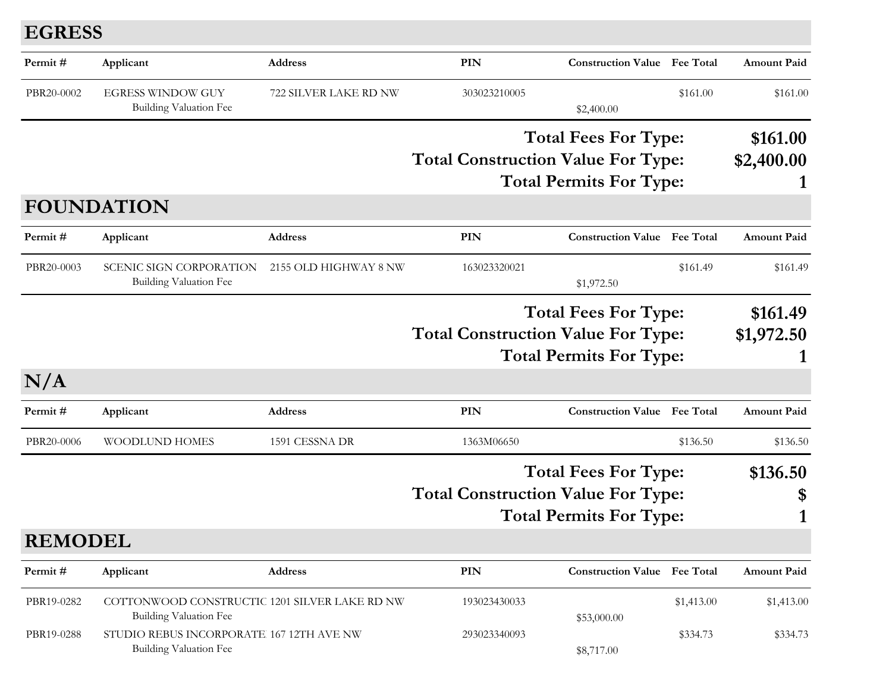## **EGRESS**

| Permit#        | Applicant                                                                 | Address               | <b>PIN</b>                                                               | <b>Construction Value</b> Fee Total                           |                        | Amount Paid        |
|----------------|---------------------------------------------------------------------------|-----------------------|--------------------------------------------------------------------------|---------------------------------------------------------------|------------------------|--------------------|
| PBR20-0002     | <b>EGRESS WINDOW GUY</b><br>Building Valuation Fee                        | 722 SILVER LAKE RD NW | 303023210005                                                             | \$2,400.00                                                    | \$161.00               | \$161.00           |
|                |                                                                           |                       |                                                                          | <b>Total Fees For Type:</b>                                   |                        | \$161.00           |
|                |                                                                           |                       | <b>Total Construction Value For Type:</b>                                |                                                               |                        | \$2,400.00         |
|                |                                                                           |                       |                                                                          | <b>Total Permits For Type:</b>                                |                        |                    |
|                | <b>FOUNDATION</b>                                                         |                       |                                                                          |                                                               |                        |                    |
| Permit#        | Applicant                                                                 | <b>Address</b>        | <b>PIN</b>                                                               | <b>Construction Value</b> Fee Total                           |                        | <b>Amount Paid</b> |
| PBR20-0003     | <b>SCENIC SIGN CORPORATION</b><br>Building Valuation Fee                  | 2155 OLD HIGHWAY 8 NW | 163023320021                                                             | \$1,972.50                                                    | \$161.49               | \$161.49           |
|                |                                                                           |                       | <b>Total Fees For Type:</b><br><b>Total Construction Value For Type:</b> |                                                               | \$161.49<br>\$1,972.50 |                    |
| N/A            |                                                                           |                       |                                                                          | <b>Total Permits For Type:</b>                                |                        |                    |
| Permit#        | Applicant                                                                 | <b>Address</b>        | <b>PIN</b>                                                               | <b>Construction Value</b> Fee Total                           |                        | <b>Amount Paid</b> |
| PBR20-0006     | <b>WOODLUND HOMES</b>                                                     | 1591 CESSNA DR        | 1363M06650                                                               |                                                               | \$136.50               | \$136.50           |
|                |                                                                           |                       | <b>Total Construction Value For Type:</b>                                | <b>Total Fees For Type:</b><br><b>Total Permits For Type:</b> |                        | \$136.50<br>\$     |
| <b>REMODEL</b> |                                                                           |                       |                                                                          |                                                               |                        |                    |
|                |                                                                           |                       |                                                                          |                                                               |                        |                    |
| Permit#        | Applicant                                                                 | Address               | PIN                                                                      | <b>Construction Value Fee Total</b>                           |                        | <b>Amount Paid</b> |
| PBR19-0282     | COTTONWOOD CONSTRUCTIC 1201 SILVER LAKE RD NW<br>Building Valuation Fee   |                       | 193023430033                                                             | \$53,000.00                                                   | \$1,413.00             | \$1,413.00         |
| PBR19-0288     | STUDIO REBUS INCORPORATE 167 12TH AVE NW<br><b>Building Valuation Fee</b> |                       | 293023340093                                                             | \$8,717.00                                                    | \$334.73               | \$334.73           |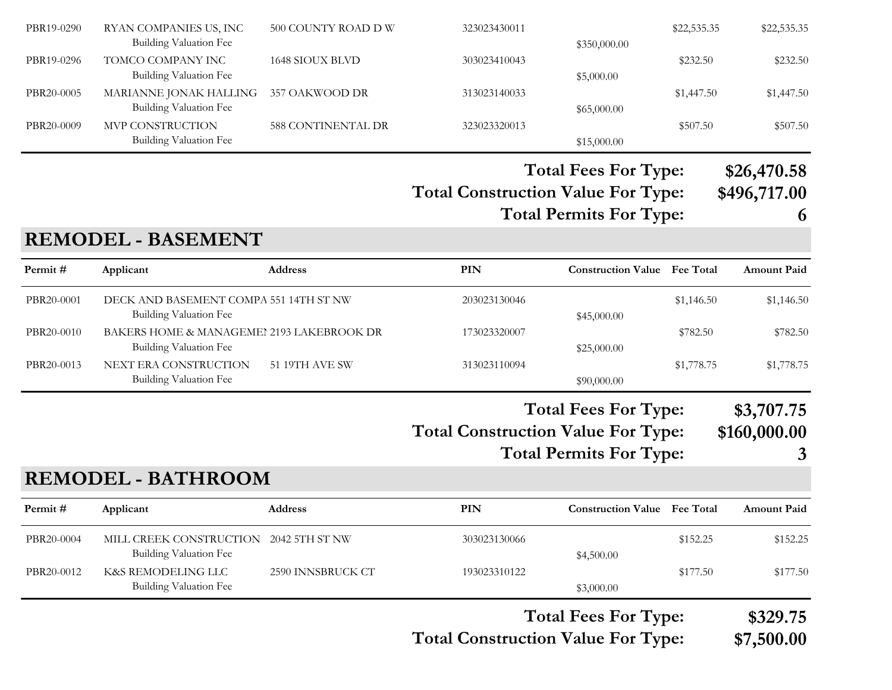| PBR19-0290 | RYAN COMPANIES US, INC<br>Building Valuation Fee                           | 500 COUNTY ROAD D W | 323023430011                              | \$350,000.00                                                  | \$22,535.35 | \$22,535.35                     |
|------------|----------------------------------------------------------------------------|---------------------|-------------------------------------------|---------------------------------------------------------------|-------------|---------------------------------|
| PBR19-0296 | TOMCO COMPANY INC<br>Building Valuation Fee                                | 1648 SIOUX BLVD     | 303023410043                              | \$5,000.00                                                    | \$232.50    | \$232.50                        |
| PBR20-0005 | MARIANNE JONAK HALLING<br>Building Valuation Fee                           | 357 OAKWOOD DR      | 313023140033                              | \$65,000.00                                                   | \$1,447.50  | \$1,447.50                      |
| PBR20-0009 | MVP CONSTRUCTION<br>Building Valuation Fee                                 | 588 CONTINENTAL DR  | 323023320013                              | \$15,000.00                                                   | \$507.50    | \$507.50                        |
|            |                                                                            |                     |                                           | <b>Total Fees For Type:</b>                                   |             | \$26,470.58                     |
|            |                                                                            |                     | <b>Total Construction Value For Type:</b> | <b>Total Permits For Type:</b>                                |             | \$496,717.00<br>6               |
|            | <b>REMODEL - BASEMENT</b>                                                  |                     |                                           |                                                               |             |                                 |
| Permit#    | Applicant                                                                  | <b>Address</b>      | PIN                                       | <b>Construction Value Fee Total</b>                           |             | <b>Amount Paid</b>              |
| PBR20-0001 | DECK AND BASEMENT COMPA 551 14TH ST NW<br>Building Valuation Fee           |                     | 203023130046                              | \$45,000.00                                                   | \$1,146.50  | \$1,146.50                      |
| PBR20-0010 | BAKERS HOME & MANAGEMEI 2193 LAKEBROOK DR<br><b>Building Valuation Fee</b> |                     | 173023320007                              | \$25,000.00                                                   | \$782.50    | \$782.50                        |
| PBR20-0013 | NEXT ERA CONSTRUCTION<br><b>Building Valuation Fee</b>                     | 51 19TH AVE SW      | 313023110094                              | \$90,000.00                                                   | \$1,778.75  | \$1,778.75                      |
|            |                                                                            |                     | <b>Total Construction Value For Type:</b> | <b>Total Fees For Type:</b><br><b>Total Permits For Type:</b> |             | \$3,707.75<br>\$160,000.00<br>3 |
|            | <b>REMODEL - BATHROOM</b>                                                  |                     |                                           |                                                               |             |                                 |
| Permit#    | Applicant                                                                  | <b>Address</b>      | <b>PIN</b>                                | <b>Construction Value Fee Total</b>                           |             | <b>Amount Paid</b>              |
| PBR20-0004 | MILL CREEK CONSTRUCTION<br><b>Building Valuation Fee</b>                   | 2042 5TH ST NW      | 303023130066                              | \$4,500.00                                                    | \$152.25    | \$152.25                        |
| PBR20-0012 | K&S REMODELING LLC<br><b>Building Valuation Fee</b>                        | 2590 INNSBRUCK CT   | 193023310122                              | \$3,000.00                                                    | \$177.50    | \$177.50                        |
|            |                                                                            |                     |                                           | <b>Total Fees For Type:</b>                                   |             | \$329.75                        |

**Total Construction Value For Type: \$7,500.00**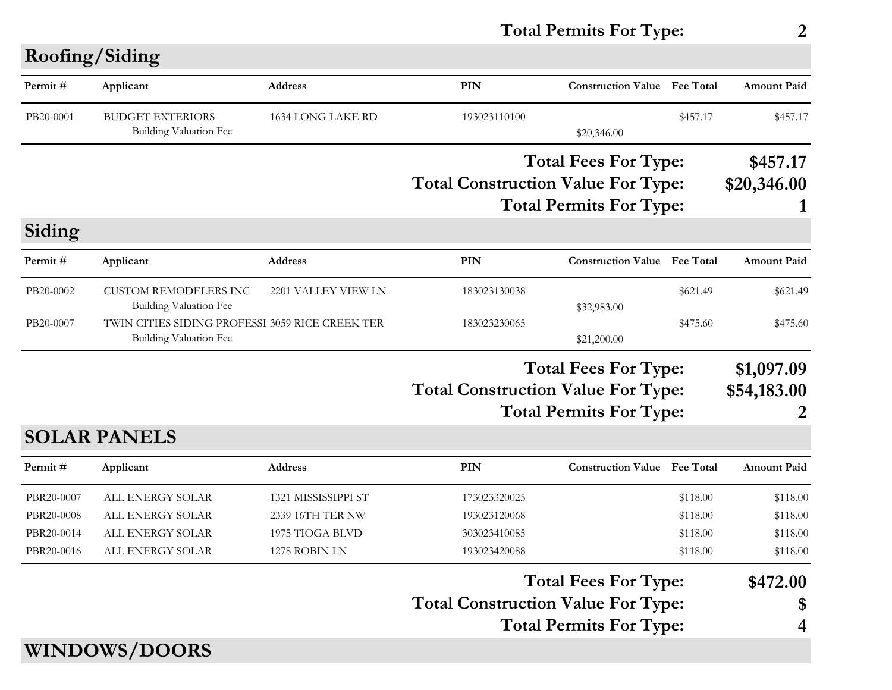## **Total Permits For Type: 2**

| Permit#    | Applicant                                                                        | <b>Address</b>      | <b>PIN</b>                                | <b>Construction Value Fee Total</b> |          | <b>Amount Paid</b> |
|------------|----------------------------------------------------------------------------------|---------------------|-------------------------------------------|-------------------------------------|----------|--------------------|
| PB20-0001  | <b>BUDGET EXTERIORS</b><br><b>Building Valuation Fee</b>                         | 1634 LONG LAKE RD   | 193023110100                              | \$20,346.00                         | \$457.17 | \$457.17           |
|            |                                                                                  |                     |                                           | <b>Total Fees For Type:</b>         |          | \$457.17           |
|            |                                                                                  |                     | <b>Total Construction Value For Type:</b> |                                     |          | \$20,346.00        |
|            |                                                                                  |                     |                                           | <b>Total Permits For Type:</b>      |          |                    |
| Siding     |                                                                                  |                     |                                           |                                     |          |                    |
| Permit#    | Applicant                                                                        | Address             | PIN                                       | <b>Construction Value</b> Fee Total |          | <b>Amount Paid</b> |
| PB20-0002  | <b>CUSTOM REMODELERS INC</b>                                                     | 2201 VALLEY VIEW LN | 183023130038                              |                                     | \$621.49 | \$621.49           |
| PB20-0007  | <b>Building Valuation Fee</b><br>TWIN CITIES SIDING PROFESSI 3059 RICE CREEK TER |                     | 183023230065                              | \$32,983.00                         | \$475.60 | \$475.60           |
|            | Building Valuation Fee                                                           |                     |                                           | \$21,200.00                         |          |                    |
|            |                                                                                  |                     |                                           | <b>Total Fees For Type:</b>         |          | \$1,097.09         |
|            |                                                                                  |                     | <b>Total Construction Value For Type:</b> |                                     |          | \$54,183.00        |
|            |                                                                                  |                     | <b>Total Permits For Type:</b>            |                                     |          | 2                  |
|            | <b>SOLAR PANELS</b>                                                              |                     |                                           |                                     |          |                    |
| Permit#    | Applicant                                                                        | <b>Address</b>      | PIN                                       | <b>Construction Value Fee Total</b> |          | <b>Amount Paid</b> |
| PBR20-0007 | ALL ENERGY SOLAR                                                                 | 1321 MISSISSIPPI ST | 173023320025                              |                                     | \$118.00 | \$118.00           |
| PBR20-0008 | ALL ENERGY SOLAR                                                                 | 2339 16TH TER NW    | 193023120068                              |                                     | \$118.00 | \$118.00           |
| PBR20-0014 | ALL ENERGY SOLAR                                                                 | 1975 TIOGA BLVD     | 303023410085                              |                                     | \$118.00 | \$118.00           |
| PBR20-0016 | ALL ENERGY SOLAR                                                                 | 1278 ROBIN LN       | 193023420088                              |                                     | \$118.00 | \$118.00           |
|            |                                                                                  |                     | <b>Total Fees For Type:</b>               |                                     |          |                    |
|            |                                                                                  |                     |                                           |                                     |          | \$472.00           |
|            |                                                                                  |                     | <b>Total Construction Value For Type:</b> |                                     |          | \$                 |